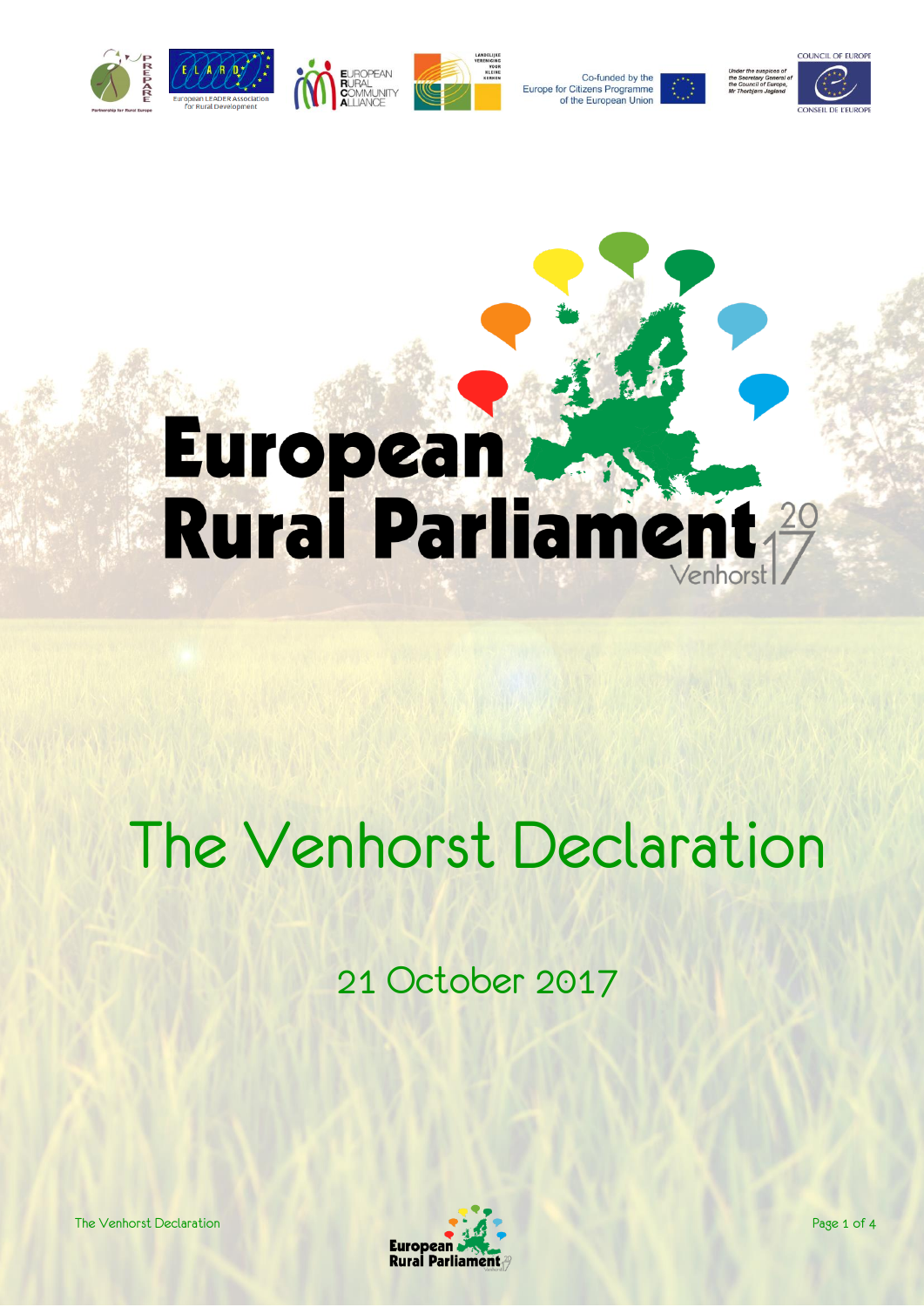

Europe for Citizens Programme

Co-funded by the of the European Union



# European<br>Rural Parliament 29

# The Venhorst Declaration

21 October 2017

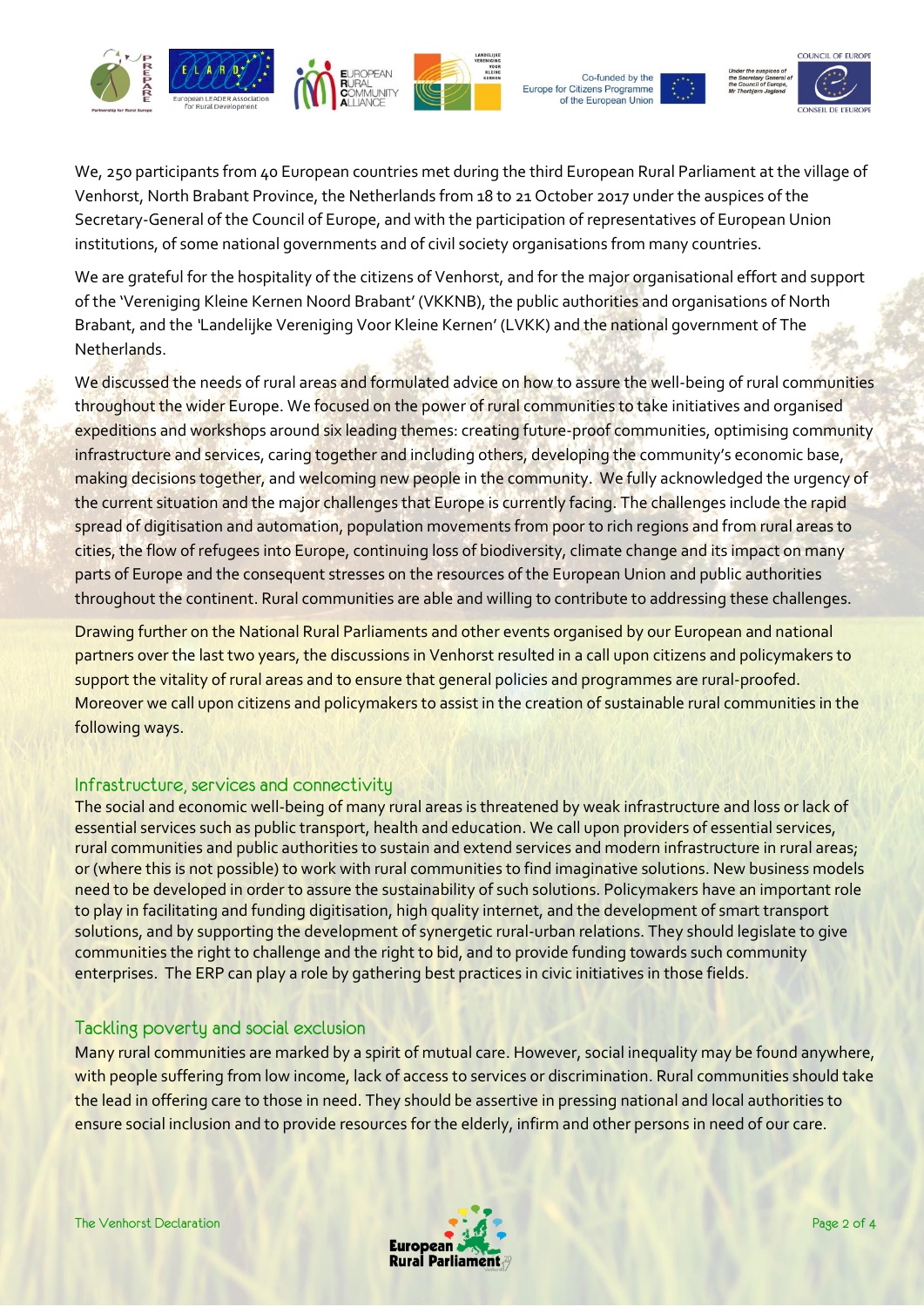



Co-funded by the Europe for Citizens Programme of the European Unior



We, 250 participants from 40 European countries met during the third European Rural Parliament at the village of Venhorst, North Brabant Province, the Netherlands from 18 to 21 October 2017 under the auspices of the Secretary-General of the Council of Europe, and with the participation of representatives of European Union institutions, of some national governments and of civil society organisations from many countries.

We are grateful for the hospitality of the citizens of Venhorst, and for the major organisational effort and support of the 'Vereniging Kleine Kernen Noord Brabant' (VKKNB), the public authorities and organisations of North Brabant, and the *'*Landelijke Vereniging Voor Kleine Kernen' (LVKK) and the national government of The Netherlands.

We discussed the needs of rural areas and formulated advice on how to assure the well-being of rural communities throughout the wider Europe. We focused on the power of rural communities to take initiatives and organised expeditions and workshops around six leading themes: creating future-proof communities, optimising community infrastructure and services, caring together and including others, developing the community's economic base, making decisions together, and welcoming new people in the community. We fully acknowledged the urgency of the current situation and the major challenges that Europe is currently facing. The challenges include the rapid spread of digitisation and automation, population movements from poor to rich regions and from rural areas to cities, the flow of refugees into Europe, continuing loss of biodiversity, climate change and its impact on many parts of Europe and the consequent stresses on the resources of the European Union and public authorities throughout the continent. Rural communities are able and willing to contribute to addressing these challenges.

Drawing further on the National Rural Parliaments and other events organised by our European and national partners over the last two years, the discussions in Venhorst resulted in a call upon citizens and policymakers to support the vitality of rural areas and to ensure that general policies and programmes are rural-proofed. Moreover we call upon citizens and policymakers to assist in the creation of sustainable rural communities in the following ways.

### Infrastructure, services and connectivity

The social and economic well-being of many rural areas is threatened by weak infrastructure and loss or lack of essential services such as public transport, health and education. We call upon providers of essential services, rural communities and public authorities to sustain and extend services and modern infrastructure in rural areas; or (where this is not possible) to work with rural communities to find imaginative solutions. New business models need to be developed in order to assure the sustainability of such solutions. Policymakers have an important role to play in facilitating and funding digitisation, high quality internet, and the development of smart transport solutions, and by supporting the development of synergetic rural-urban relations. They should legislate to give communities the right to challenge and the right to bid, and to provide funding towards such community enterprises. The ERP can play a role by gathering best practices in civic initiatives in those fields.

## Tackling poverty and social exclusion

Many rural communities are marked by a spirit of mutual care. However, social inequality may be found anywhere, with people suffering from low income, lack of access to services or discrimination. Rural communities should take the lead in offering care to those in need. They should be assertive in pressing national and local authorities to ensure social inclusion and to provide resources for the elderly, infirm and other persons in need of our care.

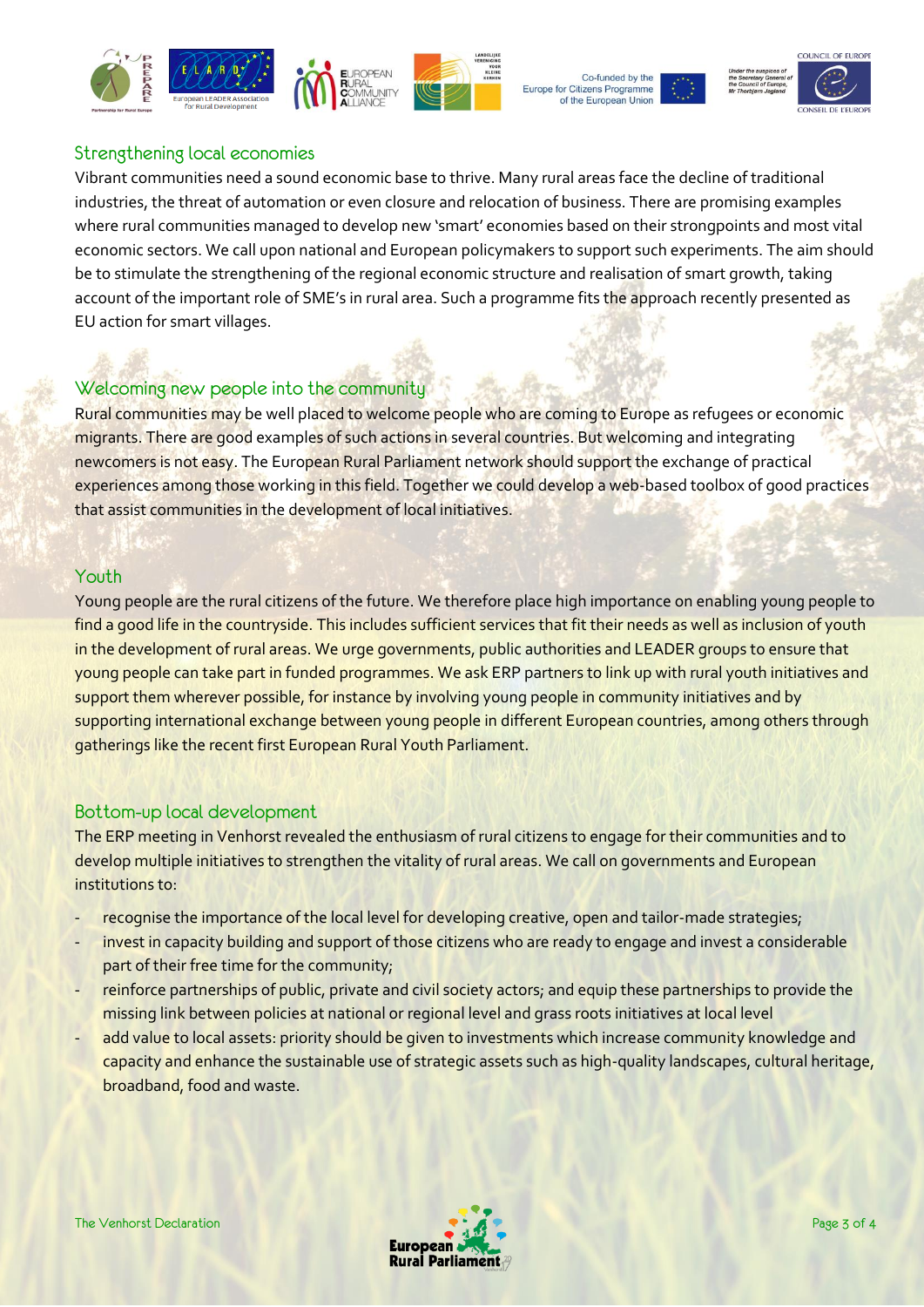





### Strengthening local economies

Vibrant communities need a sound economic base to thrive. Many rural areas face the decline of traditional industries, the threat of automation or even closure and relocation of business. There are promising examples where rural communities managed to develop new 'smart' economies based on their strongpoints and most vital economic sectors. We call upon national and European policymakers to support such experiments. The aim should be to stimulate the strengthening of the regional economic structure and realisation of smart growth, taking account of the important role of SME's in rural area. Such a programme fits the approach recently presented as EU action for smart villages.

# Welcoming new people into the community

Rural communities may be well placed to welcome people who are coming to Europe as refugees or economic migrants. There are good examples of such actions in several countries. But welcoming and integrating newcomers is not easy. The European Rural Parliament network should support the exchange of practical experiences among those working in this field. Together we could develop a web-based toolbox of good practices that assist communities in the development of local initiatives.

### Youth

Young people are the rural citizens of the future. We therefore place high importance on enabling young people to find a good life in the countryside. This includes sufficient services that fit their needs as well as inclusion of youth in the development of rural areas. We urge governments, public authorities and LEADER groups to ensure that young people can take part in funded programmes. We ask ERP partners to link up with rural youth initiatives and support them wherever possible, for instance by involving young people in community initiatives and by supporting international exchange between young people in different European countries, among others through gatherings like the recent first European Rural Youth Parliament.

### Bottom-up local development

The ERP meeting in Venhorst revealed the enthusiasm of rural citizens to engage for their communities and to develop multiple initiatives to strengthen the vitality of rural areas. We call on governments and European institutions to:

- recognise the importance of the local level for developing creative, open and tailor-made strategies;
- invest in capacity building and support of those citizens who are ready to engage and invest a considerable part of their free time for the community;
- reinforce partnerships of public, private and civil society actors; and equip these partnerships to provide the missing link between policies at national or regional level and grass roots initiatives at local level
- add value to local assets: priority should be given to investments which increase community knowledge and capacity and enhance the sustainable use of strategic assets such as high-quality landscapes, cultural heritage, broadband, food and waste.